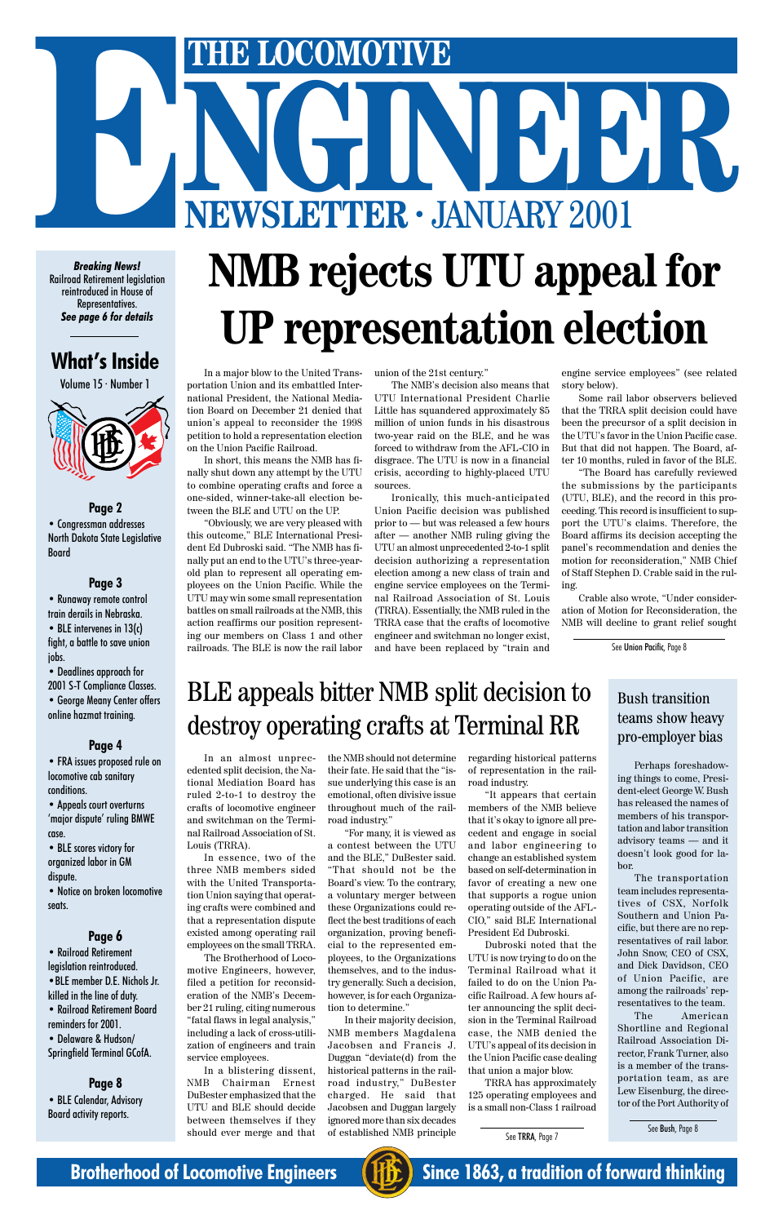

In a major blow to the United Transportation Union and its embattled International President, the National Mediation Board on December 21 denied that union's appeal to reconsider the 1998 petition to hold a representation election on the Union Pacific Railroad.

In short, this means the NMB has finally shut down any attempt by the UTU to combine operating crafts and force a one-sided, winner-take-all election between the BLE and UTU on the UP.

"Obviously, we are very pleased with this outcome," BLE International President Ed Dubroski said. "The NMB has finally put an end to the UTU's three-yearold plan to represent all operating employees on the Union Pacific. While the UTU may win some small representation battles on small railroads at the NMB, this action reaffirms our position representing our members on Class 1 and other railroads. The BLE is now the rail labor union of the 21st century."

The NMB's decision also means that UTU International President Charlie Little has squandered approximately \$5 million of union funds in his disastrous two-year raid on the BLE, and he was forced to withdraw from the AFL-CIO in disgrace. The UTU is now in a financial crisis, according to highly-placed UTU sources.

Ironically, this much-anticipated Union Pacific decision was published prior to — but was released a few hours after — another NMB ruling giving the UTU an almost unprecedented 2-to-1 split decision authorizing a representation election among a new class of train and engine service employees on the Terminal Railroad Association of St. Louis (TRRA). Essentially, the NMB ruled in the TRRA case that the crafts of locomotive engineer and switchman no longer exist, and have been replaced by "train and

engine service employees" (see related story below).

Some rail labor observers believed that the TRRA split decision could have been the precursor of a split decision in the UTU's favor in the Union Pacific case. But that did not happen. The Board, after 10 months, ruled in favor of the BLE.

"The Board has carefully reviewed the submissions by the participants (UTU, BLE), and the record in this proceeding. This record is insufficient to support the UTU's claims. Therefore, the Board affirms its decision accepting the panel's recommendation and denies the motion for reconsideration," NMB Chief of Staff Stephen D. Crable said in the ruling.

Crable also wrote, "Under consideration of Motion for Reconsideration, the NMB will decline to grant relief sought

# **NMB rejects UTU appeal for UP representation election**

In an almost unprecedented split decision, the National Mediation Board has ruled 2-to-1 to destroy the crafts of locomotive engineer and switchman on the Terminal Railroad Association of St. Louis (TRRA).

In essence, two of the three NMB members sided with the United Transportation Union saying that operating crafts were combined and that a representation dispute existed among operating rail employees on the small TRRA. The Brotherhood of Locomotive Engineers, however, filed a petition for reconsideration of the NMB's December 21 ruling, citing numerous "fatal flaws in legal analysis," including a lack of cross-utilization of engineers and train service employees.

• BLE intervenes in 13(c) fight, a battle to save union jobs.

> In a blistering dissent, NMB Chairman Ernest DuBester emphasized that the UTU and BLE should decide between themselves if they should ever merge and that

the NMB should not determine their fate. He said that the "issue underlying this case is an emotional, often divisive issue throughout much of the railroad industry."

"For many, it is viewed as a contest between the UTU and the BLE," DuBester said. "That should not be the Board's view. To the contrary, a voluntary merger between these Organizations could reflect the best traditions of each organization, proving beneficial to the represented employees, to the Organizations themselves, and to the industry generally. Such a decision, however, is for each Organization to determine." In their majority decision, NMB members Magdalena Jacobsen and Francis J. Duggan "deviate(d) from the historical patterns in the railroad industry," DuBester charged. He said that Jacobsen and Duggan largely ignored more than six decades of established NMB principle

regarding historical patterns of representation in the railroad industry.

"It appears that certain members of the NMB believe that it's okay to ignore all precedent and engage in social and labor engineering to change an established system based on self-determination in favor of creating a new one that supports a rogue union

operating outside of the AFL-CIO," said BLE International President Ed Dubroski.

Dubroski noted that the UTU is now trying to do on the Terminal Railroad what it failed to do on the Union Pacific Railroad. A few hours after announcing the split decision in the Terminal Railroad case, the NMB denied the UTU's appeal of its decision in the Union Pacific case dealing that union a major blow.

TRRA has approximately 125 operating employees and is a small non-Class 1 railroad

# BLE appeals bitter NMB split decision to destroy operating crafts at Terminal RR

Perhaps foreshadowing things to come, President-elect George W. Bush has released the names of members of his transportation and labor transition advisory teams — and it doesn't look good for labor.

The transportation team includes representatives of CSX, Norfolk Southern and Union Pacific, but there are no representatives of rail labor. John Snow, CEO of CSX, and Dick Davidson, CEO of Union Pacific, are among the railroads' representatives to the team. The American Shortline and Regional Railroad Association Director, Frank Turner, also is a member of the transportation team, as are Lew Eisenburg, the director of the Port Authority of

#### Bush transition teams show heavy pro-employer bias

See TRRA, Page 7

See Bush, Page 8

See Union Pacific, Page 8

#### **What's Inside**

Volume 15 · Number 1



#### **Page 2**

• Congressman addresses North Dakota State Legislative Board

#### **Page 3**

• Runaway remote control train derails in Nebraska.

• Deadlines approach for 2001 S-T Compliance Classes. • George Meany Center offers

online hazmat training.

#### **Page 4**

• FRA issues proposed rule on locomotive cab sanitary conditions.

• Appeals court overturns 'major dispute' ruling BMWE case.

• BLE scores victory for organized labor in GM dispute.

• Notice on broken locomotive

seats.

#### **Page 6**

• Railroad Retirement legislation reintroduced.

•BLE member D.E. Nichols Jr. killed in the line of duty.

• Railroad Retirement Board reminders for 2001.

• Delaware & Hudson/ Springfield Terminal GCofA.

#### **Page 8** • BLE Calendar, Advisory Board activity reports.

# THE LOCOMOTIVE<br>
NEWSLETTER · JANUARY 2001 **ENERGY COMOTIVE**<br> **ENEWSLETTER · JANUARY 2001**

*Breaking News!* Railroad Retirement legislation reintroduced in House of Representatives. *See page 6 for details*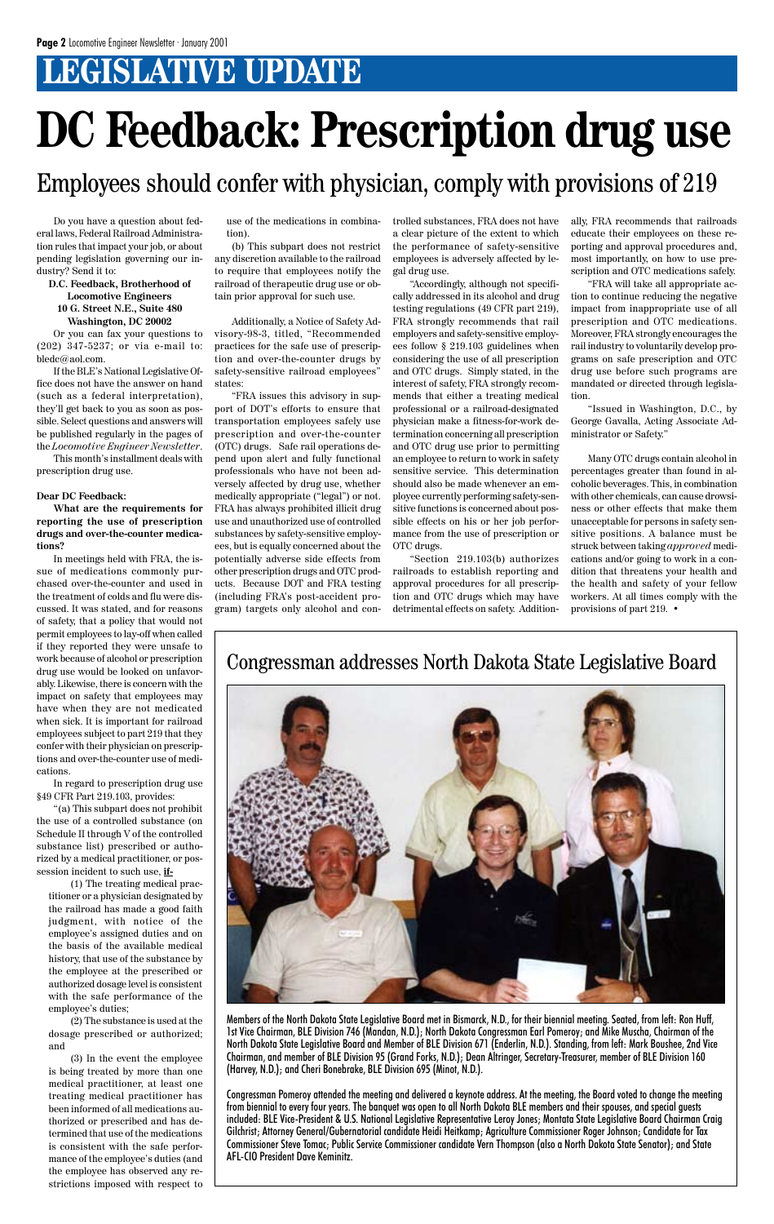# **LEGISLATIVE UPDATE**

Members of the North Dakota State Legislative Board met in Bismarck, N.D., for their biennial meeting. Seated, from left: Ron Huff, 1st Vice Chairman, BLE Division 746 (Mandan, N.D.); North Dakota Congressman Earl Pomeroy; and Mike Muscha, Chairman of the North Dakota State Legislative Board and Member of BLE Division 671 (Enderlin, N.D.). Standing, from left: Mark Boushee, 2nd Vice Chairman, and member of BLE Division 95 (Grand Forks, N.D.); Dean Altringer, Secretary-Treasurer, member of BLE Division 160 (Harvey, N.D.); and Cheri Bonebrake, BLE Division 695 (Minot, N.D.).

Congressman Pomeroy attended the meeting and delivered a keynote address. At the meeting, the Board voted to change the meeting from biennial to every four years. The banquet was open to all North Dakota BLE members and their spouses, and special guests included: BLE Vice-President & U.S. National Legislative Representative Leroy Jones; Montata State Legislative Board Chairman Craig Gilchrist; Attorney General/Gubernatorial candidate Heidi Heitkamp; Agriculture Commissioner Roger Johnson; Candidate for Tax Commissioner Steve Tomac; Public Service Commissioner candidate Vern Thompson (also a North Dakota State Senator); and State AFL-CIO President Dave Keminitz.

#### Congressman addresses North Dakota State Legislative Board

Do you have a question about federal laws, Federal Railroad Administration rules that impact your job, or about pending legislation governing our industry? Send it to:

#### **D.C. Feedback, Brotherhood of Locomotive Engineers 10 G. Street N.E., Suite 480 Washington, DC 20002**

Or you can fax your questions to (202) 347-5237; or via e-mail to: bledc@aol.com.

If the BLE's National Legislative Office does not have the answer on hand (such as a federal interpretation), they'll get back to you as soon as possible. Select questions and answers will be published regularly in the pages of the *Locomotive Engineer Newsletter*.

This month's installment deals with prescription drug use.

#### **Dear DC Feedback:**

**What are the requirements for reporting the use of prescription drugs and over-the-counter medications?**

In meetings held with FRA, the issue of medications commonly purchased over-the-counter and used in the treatment of colds and flu were discussed. It was stated, and for reasons of safety, that a policy that would not permit employees to lay-off when called if they reported they were unsafe to work because of alcohol or prescription drug use would be looked on unfavorably. Likewise, there is concern with the impact on safety that employees may have when they are not medicated when sick. It is important for railroad employees subject to part 219 that they confer with their physician on prescriptions and over-the-counter use of medications.

In regard to prescription drug use §49 CFR Part 219.103, provides:

"(a) This subpart does not prohibit the use of a controlled substance (on Schedule II through V of the controlled substance list) prescribed or authorized by a medical practitioner, or possession incident to such use, **if-**

(1) The treating medical practitioner or a physician designated by the railroad has made a good faith judgment, with notice of the employee's assigned duties and on the basis of the available medical history, that use of the substance by the employee at the prescribed or authorized dosage level is consistent with the safe performance of the employee's duties; (2) The substance is used at the dosage prescribed or authorized; and (3) In the event the employee is being treated by more than one medical practitioner, at least one treating medical practitioner has been informed of all medications authorized or prescribed and has determined that use of the medications is consistent with the safe performance of the employee's duties (and the employee has observed any restrictions imposed with respect to use of the medications in combination).

(b) This subpart does not restrict any discretion available to the railroad to require that employees notify the railroad of therapeutic drug use or obtain prior approval for such use.

Additionally, a Notice of Safety Advisory-98-3, titled, "Recommended practices for the safe use of prescription and over-the-counter drugs by safety-sensitive railroad employees" states:

"FRA issues this advisory in support of DOT's efforts to ensure that transportation employees safely use prescription and over-the-counter (OTC) drugs. Safe rail operations depend upon alert and fully functional professionals who have not been adversely affected by drug use, whether medically appropriate ("legal") or not. FRA has always prohibited illicit drug use and unauthorized use of controlled substances by safety-sensitive employees, but is equally concerned about the potentially adverse side effects from other prescription drugs and OTC products. Because DOT and FRA testing (including FRA's post-accident program) targets only alcohol and controlled substances, FRA does not have a clear picture of the extent to which the performance of safety-sensitive employees is adversely affected by legal drug use.

"Accordingly, although not specifically addressed in its alcohol and drug testing regulations (49 CFR part 219), FRA strongly recommends that rail employers and safety-sensitive employees follow § 219.103 guidelines when considering the use of all prescription and OTC drugs. Simply stated, in the interest of safety, FRA strongly recommends that either a treating medical professional or a railroad-designated physician make a fitness-for-work determination concerning all prescription and OTC drug use prior to permitting an employee to return to work in safety sensitive service. This determination should also be made whenever an employee currently performing safety-sensitive functions is concerned about possible effects on his or her job performance from the use of prescription or OTC drugs.

"Section 219.103(b) authorizes railroads to establish reporting and approval procedures for all prescription and OTC drugs which may have detrimental effects on safety. Additionally, FRA recommends that railroads educate their employees on these reporting and approval procedures and, most importantly, on how to use prescription and OTC medications safely.

"FRA will take all appropriate action to continue reducing the negative impact from inappropriate use of all prescription and OTC medications. Moreover, FRA strongly encourages the rail industry to voluntarily develop programs on safe prescription and OTC drug use before such programs are mandated or directed through legislation.

"Issued in Washington, D.C., by George Gavalla, Acting Associate Administrator or Safety."

Many OTC drugs contain alcohol in percentages greater than found in alcoholic beverages. This, in combination with other chemicals, can cause drowsiness or other effects that make them unacceptable for persons in safety sensitive positions. A balance must be struck between taking *approved* medications and/or going to work in a condition that threatens your health and the health and safety of your fellow workers. At all times comply with the provisions of part 219. •



# **DC Feedback: Prescription drug use**

Employees should confer with physician, comply with provisions of 219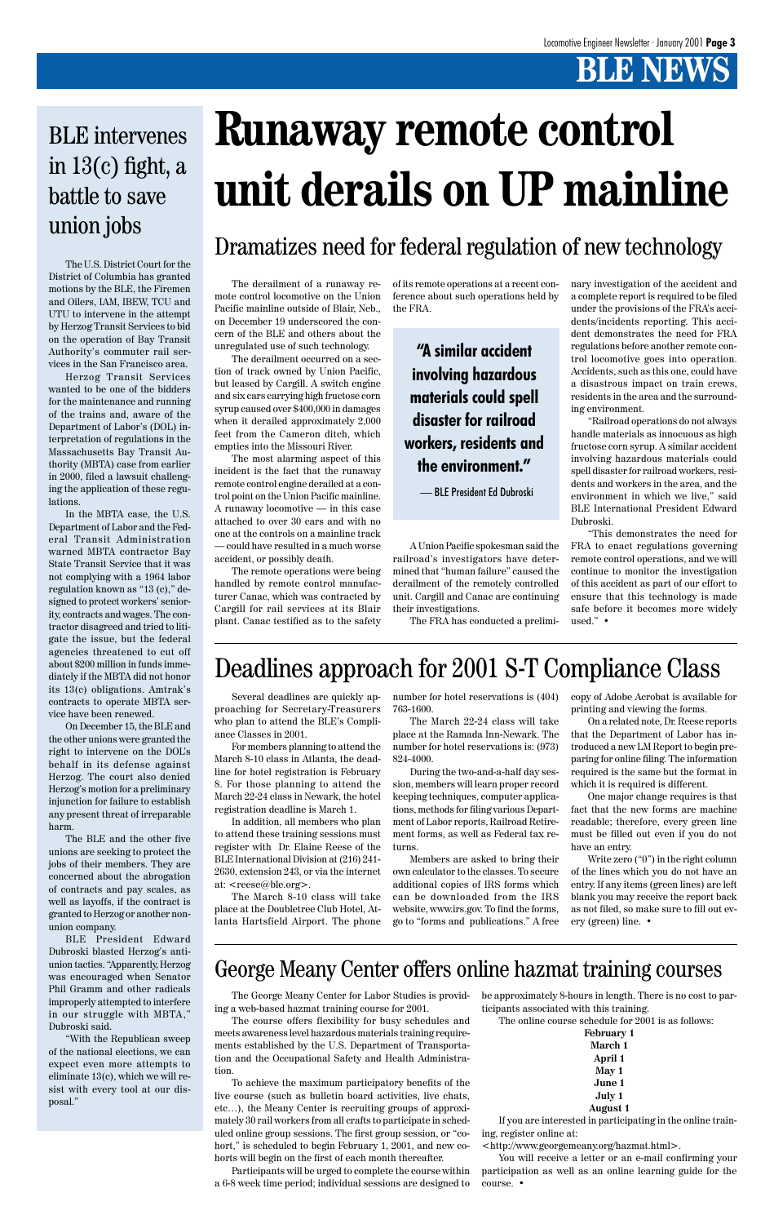The U.S. District Court for the District of Columbia has granted motions by the BLE, the Firemen and Oilers, IAM, IBEW, TCU and UTU to intervene in the attempt by Herzog Transit Services to bid on the operation of Bay Transit Authority's commuter rail services in the San Francisco area.

Herzog Transit Services wanted to be one of the bidders for the maintenance and running of the trains and, aware of the Department of Labor's (DOL) interpretation of regulations in the Massachusetts Bay Transit Authority (MBTA) case from earlier in 2000, filed a lawsuit challenging the application of these regulations.

In the MBTA case, the U.S. Department of Labor and the Federal Transit Administration warned MBTA contractor Bay State Transit Service that it was not complying with a 1964 labor regulation known as "13 (c)," designed to protect workers' seniority, contracts and wages. The contractor disagreed and tried to litigate the issue, but the federal agencies threatened to cut off about \$200 million in funds immediately if the MBTA did not honor its 13(c) obligations. Amtrak's contracts to operate MBTA service have been renewed.

On December 15, the BLE and the other unions were granted the right to intervene on the DOL's behalf in its defense against Herzog. The court also denied Herzog's motion for a preliminary injunction for failure to establish any present threat of irreparable harm.

The BLE and the other five unions are seeking to protect the jobs of their members. They are concerned about the abrogation of contracts and pay scales, as well as layoffs, if the contract is granted to Herzog or another nonunion company. BLE President Edward Dubroski blasted Herzog's antiunion tactics. "Apparently, Herzog was encouraged when Senator Phil Gramm and other radicals improperly attempted to interfere in our struggle with MBTA," Dubroski said. "With the Republican sweep of the national elections, we can expect even more attempts to eliminate 13(c), which we will resist with every tool at our disposal."

## BLE intervenes in  $13(c)$  fight, a battle to save union jobs

# **Runaway remote control unit derails on UP mainline**

The derailment of a runaway remote control locomotive on the Union Pacific mainline outside of Blair, Neb., on December 19 underscored the concern of the BLE and others about the unregulated use of such technology.

The derailment occurred on a section of track owned by Union Pacific, but leased by Cargill. A switch engine and six cars carrying high fructose corn syrup caused over \$400,000 in damages when it derailed approximately 2,000 feet from the Cameron ditch, which empties into the Missouri River.

The most alarming aspect of this incident is the fact that the runaway remote control engine derailed at a control point on the Union Pacific mainline. A runaway locomotive — in this case attached to over 30 cars and with no one at the controls on a mainline track — could have resulted in a much worse accident, or possibly death.

The remote operations were being handled by remote control manufacturer Canac, which was contracted by Cargill for rail services at its Blair plant. Canac testified as to the safety

In addition, all members who plan to attend these training sessions must register with Dr. Elaine Reese of the BLE International Division at (216) 241- 2630, extension 243, or via the internet at: <reese@ble.org>.

of its remote operations at a recent conference about such operations held by the FRA.

A Union Pacific spokesman said the railroad's investigators have determined that "human failure" caused the derailment of the remotely controlled unit. Cargill and Canac are continuing their investigations.

The FRA has conducted a prelimi-

nary investigation of the accident and a complete report is required to be filed under the provisions of the FRA's accidents/incidents reporting. This accident demonstrates the need for FRA regulations before another remote control locomotive goes into operation. Accidents, such as this one, could have a disastrous impact on train crews, residents in the area and the surrounding environment.

"Railroad operations do not always handle materials as innocuous as high fructose corn syrup. A similar accident involving hazardous materials could spell disaster for railroad workers, residents and workers in the area, and the environment in which we live," said BLE International President Edward Dubroski.

"This demonstrates the need for FRA to enact regulations governing remote control operations, and we will continue to monitor the investigation of this accident as part of our effort to ensure that this technology is made safe before it becomes more widely used." •

The George Meany Center for Labor Studies is providing a web-based hazmat training course for 2001.

The course offers flexibility for busy schedules and meets awareness level hazardous materials training requirements established by the U.S. Department of Transportation and the Occupational Safety and Health Administration.

To achieve the maximum participatory benefits of the live course (such as bulletin board activities, live chats, etc…), the Meany Center is recruiting groups of approximately 30 rail workers from all crafts to participate in scheduled online group sessions. The first group session, or "cohort," is scheduled to begin February 1, 2001, and new cohorts will begin on the first of each month thereafter.

Participants will be urged to complete the course within a 6-8 week time period; individual sessions are designed to

be approximately 8-hours in length. There is no cost to participants associated with this training.

The online course schedule for 2001 is as follows:

**February 1 March 1 April 1 May 1 June 1 July 1 August 1**

If you are interested in participating in the online training, register online at:

<http://www.georgemeany.org/hazmat.html>.

You will receive a letter or an e-mail confirming your participation as well as an online learning guide for the course. •

### George Meany Center offers online hazmat training courses

### Dramatizes need for federal regulation of new technology

Several deadlines are quickly approaching for Secretary-Treasurers who plan to attend the BLE's Compliance Classes in 2001.

For members planning to attend the March 8-10 class in Atlanta, the deadline for hotel registration is February 8. For those planning to attend the March 22-24 class in Newark, the hotel registration deadline is March 1.

The March 8-10 class will take

place at the Doubletree Club Hotel, Atlanta Hartsfield Airport. The phone

number for hotel reservations is (404) 763-1600.

The March 22-24 class will take place at the Ramada Inn-Newark. The number for hotel reservations is: (973) 824-4000.

During the two-and-a-half day session, members will learn proper record keeping techniques, computer applications, methods for filing various Department of Labor reports, Railroad Retirement forms, as well as Federal tax returns.

Members are asked to bring their own calculator to the classes. To secure additional copies of IRS forms which can be downloaded from the IRS

copy of Adobe Acrobat is available for printing and viewing the forms.

On a related note, Dr. Reese reports that the Department of Labor has introduced a new LM Report to begin preparing for online filing. The information required is the same but the format in which it is required is different.

website, www.irs.gov. To find the forms, go to "forms and publications." A free ery (green) line. • as not filed, so make sure to fill out ev-

One major change requires is that fact that the new forms are machine readable; therefore, every green line must be filled out even if you do not have an entry.

Write zero ("0") in the right column of the lines which you do not have an entry. If any items (green lines) are left blank you may receive the report back

Deadlines approach for 2001 S-T Compliance Class

**"A similar accident involving hazardous materials could spell disaster for railroad workers, residents and the environment."**

— BLE President Ed Dubroski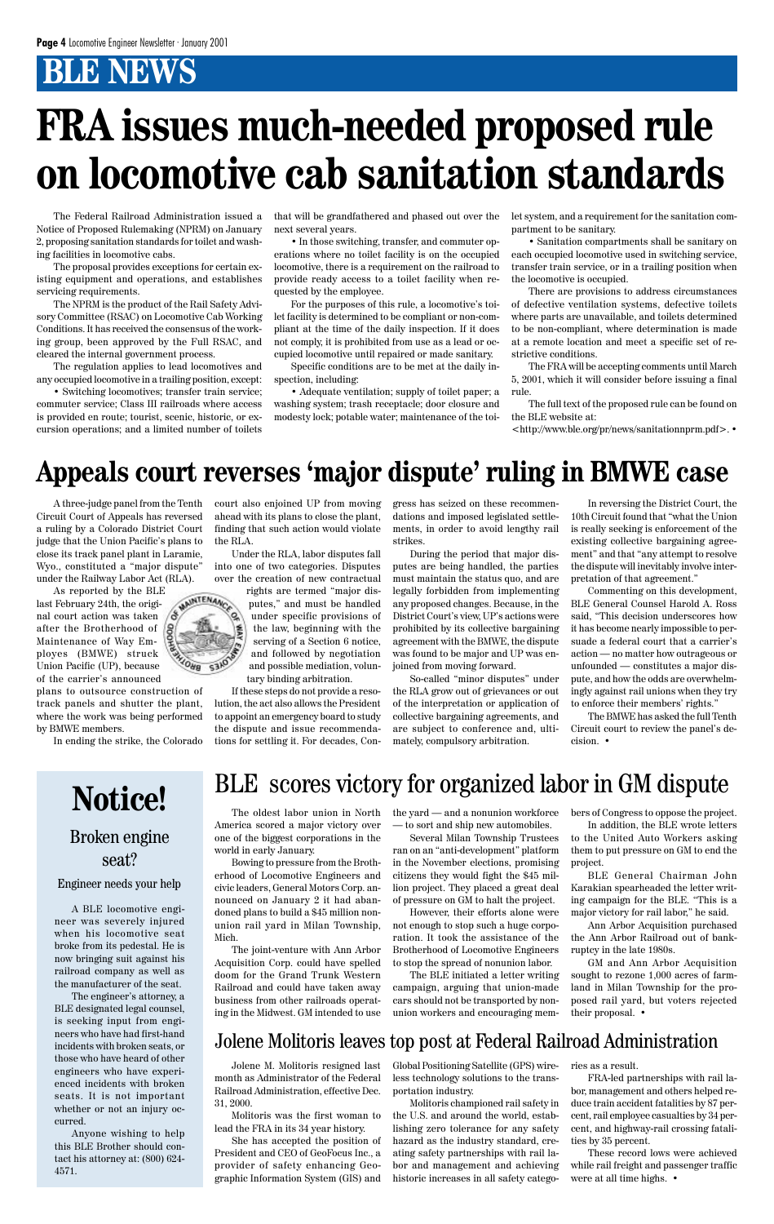Notice of Proposed Rulemaking (NPRM) on January 2, proposing sanitation standards for toilet and washing facilities in locomotive cabs.

The proposal provides exceptions for certain existing equipment and operations, and establishes servicing requirements.

The NPRM is the product of the Rail Safety Advisory Committee (RSAC) on Locomotive Cab Working Conditions. It has received the consensus of the working group, been approved by the Full RSAC, and cleared the internal government process.

The Federal Railroad Administration issued a that will be grandfathered and phased out over the next several years.

The regulation applies to lead locomotives and any occupied locomotive in a trailing position, except:

• Switching locomotives; transfer train service; commuter service; Class III railroads where access is provided en route; tourist, scenic, historic, or excursion operations; and a limited number of toilets

• In those switching, transfer, and commuter operations where no toilet facility is on the occupied locomotive, there is a requirement on the railroad to provide ready access to a toilet facility when requested by the employee.

For the purposes of this rule, a locomotive's toilet facility is determined to be compliant or non-compliant at the time of the daily inspection. If it does not comply, it is prohibited from use as a lead or occupied locomotive until repaired or made sanitary.

Specific conditions are to be met at the daily inspection, including:

• Adequate ventilation; supply of toilet paper; a washing system; trash receptacle; door closure and modesty lock; potable water; maintenance of the toilet system, and a requirement for the sanitation compartment to be sanitary.

• Sanitation compartments shall be sanitary on each occupied locomotive used in switching service, transfer train service, or in a trailing position when the locomotive is occupied.

There are provisions to address circumstances of defective ventilation systems, defective toilets where parts are unavailable, and toilets determined to be non-compliant, where determination is made at a remote location and meet a specific set of restrictive conditions.

The FRA will be accepting comments until March 5, 2001, which it will consider before issuing a final rule.

The full text of the proposed rule can be found on the BLE website at:

<http://www.ble.org/pr/news/sanitationnprm.pdf>. •

# **FRA issues much-needed proposed rule on locomotive cab sanitation standards**

A BLE locomotive engineer was severely injured when his locomotive seat broke from its pedestal. He is now bringing suit against his railroad company as well as the manufacturer of the seat.

The engineer's attorney, a BLE designated legal counsel, is seeking input from engineers who have had first-hand incidents with broken seats, or those who have heard of other engineers who have experienced incidents with broken seats. It is not important whether or not an injury occurred.

Anyone wishing to help this BLE Brother should contact his attorney at: (800) 624- 4571.

A three-judge panel from the Tenth Circuit Court of Appeals has reversed a ruling by a Colorado District Court judge that the Union Pacific's plans to close its track panel plant in Laramie, Wyo., constituted a "major dispute" under the Railway Labor Act (RLA).

As reported by the BLE last February 24th, the original court action was taken after the Brotherhood of Maintenance of Way Employes (BMWE) struck Union Pacific (UP), because of the carrier's announced

plans to outsource construction of track panels and shutter the plant, where the work was being performed by BMWE members.

In ending the strike, the Colorado

court also enjoined UP from moving ahead with its plans to close the plant, finding that such action would violate the RLA.

Under the RLA, labor disputes fall into one of two categories. Disputes over the creation of new contractual

rights are termed "major disputes," and must be handled under specific provisions of the law, beginning with the serving of a Section 6 notice, and followed by negotiation and possible mediation, voluntary binding arbitration.

If these steps do not provide a resolution, the act also allows the President to appoint an emergency board to study the dispute and issue recommendations for settling it. For decades, Con-

gress has seized on these recommendations and imposed legislated settlements, in order to avoid lengthy rail strikes.

During the period that major disputes are being handled, the parties must maintain the status quo, and are legally forbidden from implementing any proposed changes. Because, in the District Court's view, UP's actions were prohibited by its collective bargaining agreement with the BMWE, the dispute was found to be major and UP was enjoined from moving forward.

So-called "minor disputes" under the RLA grow out of grievances or out of the interpretation or application of collective bargaining agreements, and are subject to conference and, ultimately, compulsory arbitration.

In reversing the District Court, the 10th Circuit found that "what the Union is really seeking is enforcement of the existing collective bargaining agreement" and that "any attempt to resolve the dispute will inevitably involve interpretation of that agreement."

Commenting on this development, BLE General Counsel Harold A. Ross said, "This decision underscores how it has become nearly impossible to persuade a federal court that a carrier's action — no matter how outrageous or unfounded — constitutes a major dispute, and how the odds are overwhelmingly against rail unions when they try to enforce their members' rights."

The BMWE has asked the full Tenth Circuit court to review the panel's decision. •

### **Appeals court reverses 'major dispute' ruling in BMWE case**

# **Notice!** Broken engine seat?

#### Engineer needs your help

### BLE scores victory for organized labor in GM dispute

The oldest labor union in North America scored a major victory over one of the biggest corporations in the world in early January.

Bowing to pressure from the Brotherhood of Locomotive Engineers and civic leaders, General Motors Corp. announced on January 2 it had abandoned plans to build a \$45 million nonunion rail yard in Milan Township, Mich.

The joint-venture with Ann Arbor Acquisition Corp. could have spelled doom for the Grand Trunk Western Railroad and could have taken away business from other railroads operating in the Midwest. GM intended to use the yard — and a nonunion workforce — to sort and ship new automobiles.

Several Milan Township Trustees ran on an "anti-development" platform in the November elections, promising citizens they would fight the \$45 million project. They placed a great deal of pressure on GM to halt the project.

However, their efforts alone were not enough to stop such a huge corporation. It took the assistance of the Brotherhood of Locomotive Engineers to stop the spread of nonunion labor.

The BLE initiated a letter writing campaign, arguing that union-made cars should not be transported by nonunion workers and encouraging members of Congress to oppose the project.

In addition, the BLE wrote letters to the United Auto Workers asking them to put pressure on GM to end the project.

BLE General Chairman John Karakian spearheaded the letter writing campaign for the BLE. "This is a major victory for rail labor," he said.



Ann Arbor Acquisition purchased the Ann Arbor Railroad out of bankruptcy in the late 1980s.

GM and Ann Arbor Acquisition sought to rezone 1,000 acres of farmland in Milan Township for the proposed rail yard, but voters rejected their proposal. •

Jolene M. Molitoris resigned last month as Administrator of the Federal Railroad Administration, effective Dec. 31, 2000.

Molitoris was the first woman to lead the FRA in its 34 year history.

She has accepted the position of President and CEO of GeoFocus Inc., a provider of safety enhancing Geographic Information System (GIS) and

Global Positioning Satellite (GPS) wireless technology solutions to the transportation industry.

Molitoris championed rail safety in the U.S. and around the world, establishing zero tolerance for any safety hazard as the industry standard, creating safety partnerships with rail labor and management and achieving historic increases in all safety categories as a result.

FRA-led partnerships with rail labor, management and others helped reduce train accident fatalities by 87 percent, rail employee casualties by 34 percent, and highway-rail crossing fatalities by 35 percent.

These record lows were achieved while rail freight and passenger traffic were at all time highs. •

#### Jolene Molitoris leaves top post at Federal Railroad Administration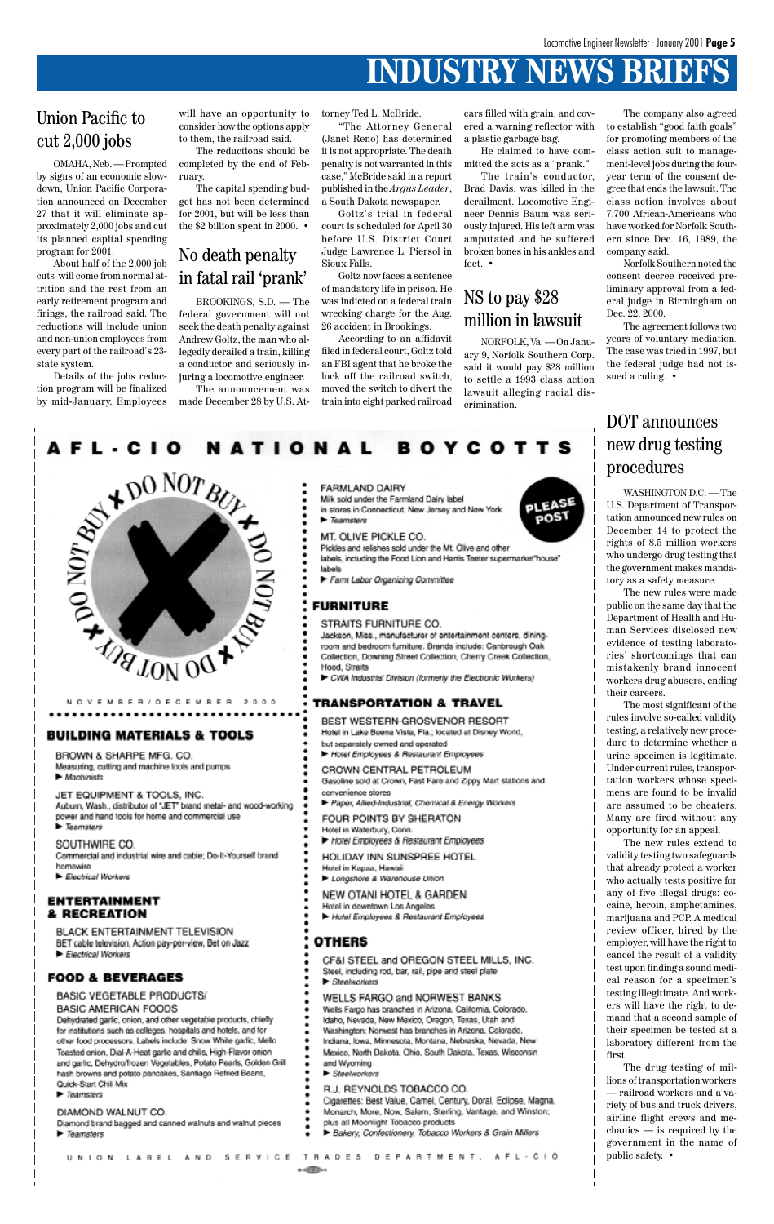# **INDUSTRY NEWS BRIEFS**

OMAHA, Neb. — Prompted by signs of an economic slowdown, Union Pacific Corporation announced on December 27 that it will eliminate approximately 2,000 jobs and cut its planned capital spending program for 2001.

About half of the 2,000 job cuts will come from normal attrition and the rest from an early retirement program and firings, the railroad said. The reductions will include union and non-union employees from every part of the railroad's 23 state system.

Details of the jobs reduction program will be finalized by mid-January. Employees will have an opportunity to consider how the options apply to them, the railroad said.

The reductions should be completed by the end of February.

The capital spending budget has not been determined for 2001, but will be less than the \$2 billion spent in 2000. •

#### Union Pacific to cut 2,000 jobs

#### No death penalty in fatal rail 'prank'

WASHINGTON D.C. — The U.S. Department of Transportation announced new rules on December 14 to protect the rights of 8.5 million workers who undergo drug testing that the government makes mandatory as a safety measure.

The new rules were made public on the same day that the Department of Health and Human Services disclosed new evidence of testing laboratories' shortcomings that can mistakenly brand innocent workers drug abusers, ending their careers.

The most significant of the rules involve so-called validity testing, a relatively new procedure to determine whether a urine specimen is legitimate. Under current rules, transportation workers whose specimens are found to be invalid are assumed to be cheaters. Many are fired without any opportunity for an appeal.

The new rules extend to validity testing two safeguards that already protect a worker who actually tests positive for any of five illegal drugs: cocaine, heroin, amphetamines, marijuana and PCP. A medical review officer, hired by the employer, will have the right to cancel the result of a validity test upon finding a sound medical reason for a specimen's testing illegitimate. And workers will have the right to demand that a second sample of their specimen be tested at a laboratory different from the first. The drug testing of millions of transportation workers — railroad workers and a variety of bus and truck drivers, airline flight crews and mechanics — is required by the government in the name of public safety. •





#### **BUILDING MATERIALS & TOOLS**

OVEMBER/DECEMBER

- BROWN & SHARPE MFG. CO. Measuring, cutting and machine tools and pumps Machinists
- JET EQUIPMENT & TOOLS, INC. Aubum, Wash., distributor of "JET" brand metal- and wood-working power and hand tools for home and commercial use  $\blacktriangleright$  Teamsters
- SOUTHWIRE CO. Commercial and industrial wire and cable; Do-It-Yourself brand homewire
- Electrical Workers

#### **FARMLAND DAIRY**

Milk sold under the Farmland Dairy label in stores in Connecticut, New Jersey and New York  $\blacktriangleright$  Teamsters

MT. OLIVE PICKLE CO.

Pickles and relishes sold under the Mt. Olive and other labels, including the Food Lion and Harris Teeter supermarket "house" labels

Farm Labor Organizing Committee

#### **FURNITURE**

STRAITS FURNITURE CO.

Jackson, Miss., manufacturer of entertainment centers, diningroom and bedroom furniture. Brands include: Canbrough Oak Collection, Downing Street Collection, Cherry Creek Collection, Hood, Straits

CWA Industrial Division (formerly the Electronic Workers)

#### **TRANSPORTATION & TRAVEL**

BEST WESTERN-GROSVENOR RESORT Hotel in Lake Buena Vista, Fla.; located at Disney World, but separately owned and operated Hotel Employees & Restaurant Employees

- CROWN CENTRAL PETROLEUM Gasoline sold at Crown, Fast Fare and Zippy Mart stations and convenience stores
- Paper, Allied-Industrial, Chemical & Energy Workers
- FOUR POINTS BY SHERATON
- Hotel in Waterbury, Conn. Hotel Employees & Restaurant Employees
- HOLIDAY INN SUNSPREE HOTEL
- Hotel in Kanaa, Hawaii Longshore & Warehouse Union

NEW OTANI HOTEL & GARDEN



#### ENTERTAINMEN & RECREATION

BLACK ENTERTAINMENT TELEVISION BET cable television, Action pay-per-view, Bet on Jazz Electrical Workers

#### **FOOD & BEVERAGES**

#### **BASIC VEGETABLE PRODUCTS/ BASIC AMERICAN FOODS**

Dehydrated garlic, onion, and other vegetable products, chiefly for institutions such as colleges, hospitals and hotels, and for other food processors. Labels include: Snow White garlic, Mello Toasted onion, Dial-A-Heat garlic and chilis, High-Flavor onion and garlic, Dehydro/frozen Vegetables, Potato Pearls, Golden Grill hash browns and potato pancakes, Santiago Refried Beans, Quick-Start Chili Mix

**F** Teamsters

#### DIAMOND WALNUT CO.

Diamond brand bagged and canned walnuts and walnut pieces

P Teamsters

- Hotel in downtown Los Angeles
- Hotel Employees & Restaurant Employees

#### **OTHERS**

- CF&I STEEL and OREGON STEEL MILLS, INC.
- Steel, including rod, bar, rail, pipe and steel plate
- $\blacktriangleright$  Steelworkers

#### WELLS FARGO and NORWEST BANKS

- Wells Fargo has branches in Arizona, California, Colorado,
- Idaho, Nevada, New Mexico, Oregon, Texas, Utah and
- Washington; Norwest has branches in Arizona, Colorado,
- Indiana, Iowa, Minnesota, Montana, Nebraska, Nevada, New
- Mexico, North Dakota, Ohio, South Dakota, Texas, Wisconsin and Wyoming
- E Steelworkers
- R.J. REYNOLDS TOBACCO CO.
- Cigarettes: Best Value, Camel, Century, Doral, Eclipse, Magna,
- Monarch, More, Now, Salem, Sterling, Vantage, and Winston;
- plus all Moonlight Tobacco products
- Bakery, Confectionery, Tobacco Workers & Grain Millers

UNION LABEL AND SERVICE TRADES DEPARTMENT, AFL-CIÓ

 $8 - 48 - 20$ 

The train's conductor, Brad Davis, was killed in the derailment. Locomotive Engineer Dennis Baum was seriously injured. His left arm was amputated and he suffered broken bones in his ankles and feet •

BROOKINGS, S.D. — The federal government will not seek the death penalty against Andrew Goltz, the man who allegedly derailed a train, killing a conductor and seriously injuring a locomotive engineer.

The announcement was made December 28 by U.S. At-

 $2000$ 

#### DOT announces new drug testing procedures

NORFOLK, Va. — On January 9, Norfolk Southern Corp. said it would pay \$28 million to settle a 1993 class action lawsuit alleging racial discrimination.

#### NS to pay \$28 million in lawsuit

The company also agreed to establish "good faith goals" for promoting members of the class action suit to management-level jobs during the fouryear term of the consent degree that ends the lawsuit. The class action involves about 7,700 African-Americans who have worked for Norfolk Southern since Dec. 16, 1989, the company said.

Norfolk Southern noted the consent decree received preliminary approval from a federal judge in Birmingham on Dec. 22, 2000.

The agreement follows two years of voluntary mediation. The case was tried in 1997, but the federal judge had not issued a ruling. •

torney Ted L. McBride.

"The Attorney General (Janet Reno) has determined it is not appropriate. The death penalty is not warranted in this case," McBride said in a report published in the *Argus Leader*, a South Dakota newspaper.

Goltz's trial in federal court is scheduled for April 30 before U.S. District Court Judge Lawrence L. Piersol in Sioux Falls.

Goltz now faces a sentence of mandatory life in prison. He was indicted on a federal train wrecking charge for the Aug. 26 accident in Brookings.

According to an affidavit filed in federal court, Goltz told an FBI agent that he broke the lock off the railroad switch, moved the switch to divert the train into eight parked railroad

cars filled with grain, and covered a warning reflector with a plastic garbage bag.

He claimed to have committed the acts as a "prank."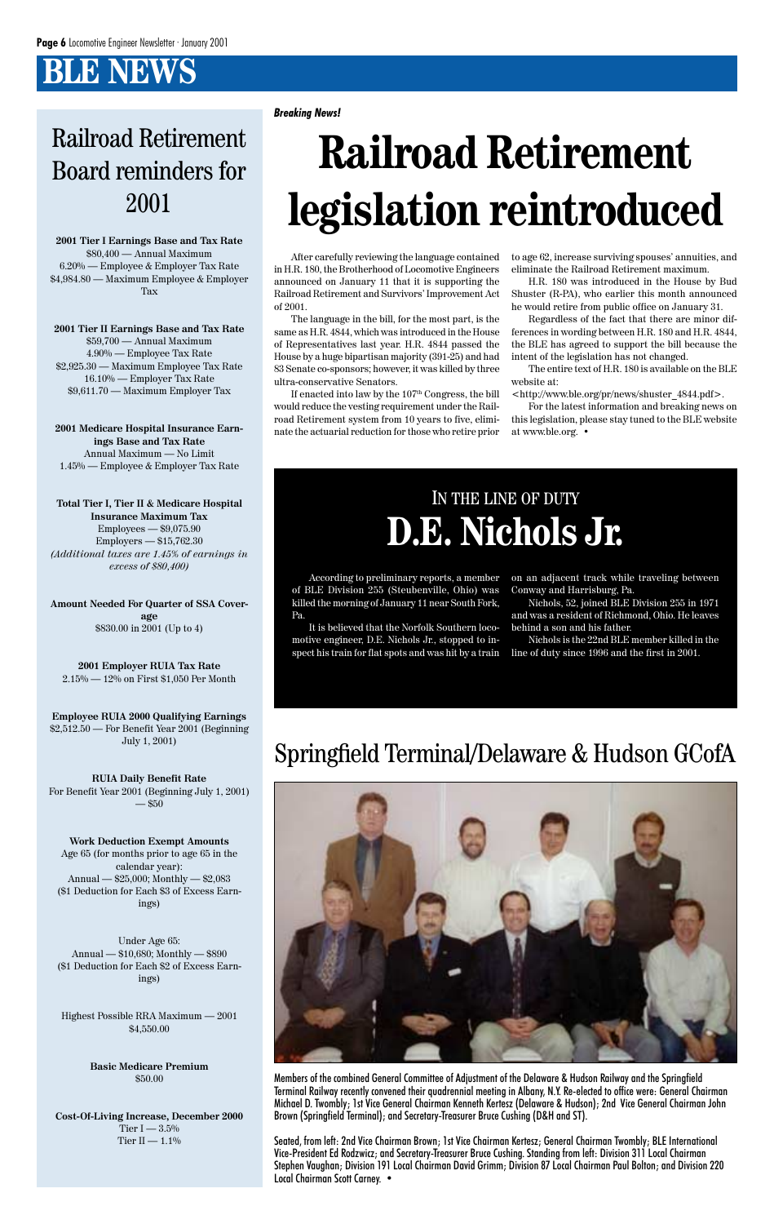**2001 Tier I Earnings Base and Tax Rate** \$80,400 — Annual Maximum 6.20% — Employee & Employer Tax Rate \$4,984.80 — Maximum Employee & Employer Tax

**2001 Tier II Earnings Base and Tax Rate** \$59,700 — Annual Maximum 4.90% — Employee Tax Rate \$2,925.30 — Maximum Employee Tax Rate 16.10% — Employer Tax Rate \$9,611.70 — Maximum Employer Tax

**2001 Medicare Hospital Insurance Earnings Base and Tax Rate** Annual Maximum — No Limit 1.45% — Employee & Employer Tax Rate

**RUIA Daily Benefit Rate** For Benefit Year 2001 (Beginning July 1, 2001)  $- $50$ 

**Total Tier I, Tier II & Medicare Hospital Insurance Maximum Tax** Employees — \$9,075.90 Employers — \$15,762.30 *(Additional taxes are 1.45% of earnings in excess of \$80,400)*

**Cost-Of-Living Increase, December 2000** Tier I —  $3.5\%$ Tier II —  $1.1\%$ 

**Amount Needed For Quarter of SSA Coverage** \$830.00 in 2001 (Up to 4)

**2001 Employer RUIA Tax Rate** 2.15% — 12% on First \$1,050 Per Month

**Employee RUIA 2000 Qualifying Earnings** \$2,512.50 — For Benefit Year 2001 (Beginning July 1, 2001)

**Work Deduction Exempt Amounts** Age 65 (for months prior to age 65 in the calendar year): Annual — \$25,000; Monthly — \$2,083 (\$1 Deduction for Each \$3 of Excess Earn-

If enacted into law by the  $107<sup>th</sup> Congress$ , the bill would reduce the vesting requirement under the Railroad Retirement system from 10 years to five, eliminate the actuarial reduction for those who retire prior

ings)

Under Age 65: Annual — \$10,680; Monthly — \$890 (\$1 Deduction for Each \$2 of Excess Earnings)

#### Highest Possible RRA Maximum — 2001 \$4,550.00

**Basic Medicare Premium** \$50.00

# Railroad Retirement Board reminders for 2001

After carefully reviewing the language contained in H.R. 180, the Brotherhood of Locomotive Engineers announced on January 11 that it is supporting the Railroad Retirement and Survivors' Improvement Act of 2001.

The language in the bill, for the most part, is the same as H.R. 4844, which was introduced in the House of Representatives last year. H.R. 4844 passed the House by a huge bipartisan majority (391-25) and had 83 Senate co-sponsors; however, it was killed by three ultra-conservative Senators.

# **Railroad Retirement legislation reintroduced**

*Breaking News!*

to age 62, increase surviving spouses' annuities, and eliminate the Railroad Retirement maximum.

H.R. 180 was introduced in the House by Bud Shuster (R-PA), who earlier this month announced he would retire from public office on January 31.

Regardless of the fact that there are minor differences in wording between H.R. 180 and H.R. 4844, the BLE has agreed to support the bill because the intent of the legislation has not changed.

The entire text of H.R. 180 is available on the BLE website at:

<http://www.ble.org/pr/news/shuster\_4844.pdf>.

For the latest information and breaking news on this legislation, please stay tuned to the BLE website at www.ble.org. •

According to preliminary reports, a member of BLE Division 255 (Steubenville, Ohio) was killed the morning of January 11 near South Fork, Pa.

It is believed that the Norfolk Southern locomotive engineer, D.E. Nichols Jr., stopped to inspect his train for flat spots and was hit by a train on an adjacent track while traveling between Conway and Harrisburg, Pa.

Nichols, 52, joined BLE Division 255 in 1971 and was a resident of Richmond, Ohio. He leaves behind a son and his father.

Nichols is the 22nd BLE member killed in the line of duty since 1996 and the first in 2001.

# IN THE LINE OF DUTY **D.E. Nichols Jr.**

Members of the combined General Committee of Adjustment of the Delaware & Hudson Railway and the Springfield Terminal Railway recently convened their quadrennial meeting in Albany, N.Y. Re-elected to office were: General Chairman Michael D. Twombly; 1st Vice General Chairman Kenneth Kertesz (Delaware & Hudson); 2nd Vice General Chairman John Brown (Springfield Terminal); and Secretary-Treasurer Bruce Cushing (D&H and ST).

Seated, from left: 2nd Vice Chairman Brown; 1st Vice Chairman Kertesz; General Chairman Twombly; BLE International Vice-President Ed Rodzwicz; and Secretary-Treasurer Bruce Cushing. Standing from left: Division 311 Local Chairman Stephen Vaughan; Division 191 Local Chairman David Grimm; Division 87 Local Chairman Paul Bolton; and Division 220 Local Chairman Scott Carney. •

# Springfield Terminal/Delaware & Hudson GCofA

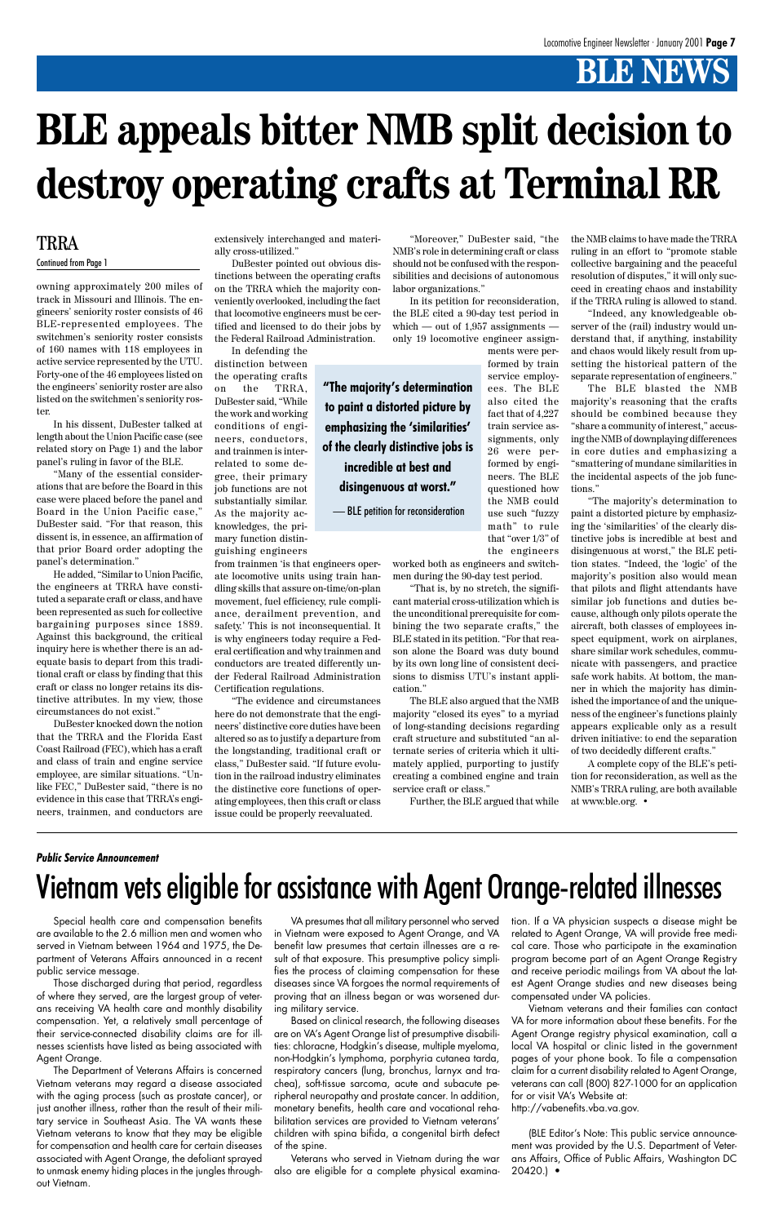owning approximately 200 miles of track in Missouri and Illinois. The engineers' seniority roster consists of 46 BLE-represented employees. The switchmen's seniority roster consists of 160 names with 118 employees in active service represented by the UTU. Forty-one of the 46 employees listed on the engineers' seniority roster are also listed on the switchmen's seniority roster.

In his dissent, DuBester talked at length about the Union Pacific case (see related story on Page 1) and the labor panel's ruling in favor of the BLE.

"Many of the essential considerations that are before the Board in this case were placed before the panel and Board in the Union Pacific case," DuBester said. "For that reason, this dissent is, in essence, an affirmation of that prior Board order adopting the panel's determination."

He added, "Similar to Union Pacific, the engineers at TRRA have constituted a separate craft or class, and have been represented as such for collective bargaining purposes since 1889. Against this background, the critical inquiry here is whether there is an adequate basis to depart from this traditional craft or class by finding that this craft or class no longer retains its distinctive attributes. In my view, those circumstances do not exist."

DuBester knocked down the notion that the TRRA and the Florida East Coast Railroad (FEC), which has a craft and class of train and engine service employee, are similar situations. "Unlike FEC," DuBester said, "there is no evidence in this case that TRRA's engineers, trainmen, and conductors are

"Moreover," DuBester said, "the NMB's role in determining craft or class should not be confused with the responsibilities and decisions of autonomous labor organizations."

extensively interchanged and materially cross-utilized."

DuBester pointed out obvious distinctions between the operating crafts on the TRRA which the majority conveniently overlooked, including the fact that locomotive engineers must be certified and licensed to do their jobs by the Federal Railroad Administration.

In defending the distinction between the operating crafts on the TRRA, DuBester said, "While the work and working conditions of engineers, conductors, and trainmen is interrelated to some degree, their primary job functions are not substantially similar. As the majority acknowledges, the primary function distinguishing engineers

from trainmen 'is that engineers operate locomotive units using train handling skills that assure on-time/on-plan movement, fuel efficiency, rule compliance, derailment prevention, and safety.' This is not inconsequential. It is why engineers today require a Federal certification and why trainmen and conductors are treated differently under Federal Railroad Administration Certification regulations.

"The evidence and circumstances here do not demonstrate that the engineers' distinctive core duties have been altered so as to justify a departure from the longstanding, traditional craft or class," DuBester said. "If future evolution in the railroad industry eliminates the distinctive core functions of operating employees, then this craft or class issue could be properly reevaluated.

In its petition for reconsideration, the BLE cited a 90-day test period in which — out of  $1,957$  assignments only 19 locomotive engineer assign-

ments were performed by train service employees. The BLE also cited the fact that of 4,227 train service assignments, only 26 were performed by engineers. The BLE questioned how the NMB could use such "fuzzy math" to rule that "over 1/3" of the engineers

worked both as engineers and switchmen during the 90-day test period.

"That is, by no stretch, the significant material cross-utilization which is the unconditional prerequisite for combining the two separate crafts," the BLE stated in its petition. "For that reason alone the Board was duty bound by its own long line of consistent decisions to dismiss UTU's instant application."

The BLE also argued that the NMB majority "closed its eyes" to a myriad of long-standing decisions regarding craft structure and substituted "an alternate series of criteria which it ultimately applied, purporting to justify creating a combined engine and train service craft or class."

Further, the BLE argued that while

the NMB claims to have made the TRRA ruling in an effort to "promote stable collective bargaining and the peaceful resolution of disputes," it will only succeed in creating chaos and instability if the TRRA ruling is allowed to stand.

"Indeed, any knowledgeable observer of the (rail) industry would understand that, if anything, instability and chaos would likely result from upsetting the historical pattern of the separate representation of engineers."

The BLE blasted the NMB majority's reasoning that the crafts should be combined because they "share a community of interest," accusing the NMB of downplaying differences in core duties and emphasizing a "smattering of mundane similarities in the incidental aspects of the job functions."

"The majority's determination to paint a distorted picture by emphasizing the 'similarities' of the clearly distinctive jobs is incredible at best and disingenuous at worst," the BLE petition states. "Indeed, the 'logic' of the majority's position also would mean that pilots and flight attendants have similar job functions and duties because, although only pilots operate the aircraft, both classes of employees inspect equipment, work on airplanes, share similar work schedules, communicate with passengers, and practice safe work habits. At bottom, the manner in which the majority has diminished the importance of and the uniqueness of the engineer's functions plainly appears explicable only as a result driven initiative: to end the separation of two decidedly different crafts."

A complete copy of the BLE's petition for reconsideration, as well as the NMB's TRRA ruling, are both available at www.ble.org. •

# **BLE appeals bitter NMB split decision to destroy operating crafts at Terminal RR**

#### TRRA

Continued from Page 1

**"The majority's determination to paint a distorted picture by emphasizing the 'similarities' of the clearly distinctive jobs is incredible at best and disingenuous at worst."**

— BLE petition for reconsideration

Special health care and compensation benefits are available to the 2.6 million men and women who served in Vietnam between 1964 and 1975, the Department of Veterans Affairs announced in a recent public service message.

Those discharged during that period, regardless of where they served, are the largest group of veterans receiving VA health care and monthly disability compensation. Yet, a relatively small percentage of their service-connected disability claims are for illnesses scientists have listed as being associated with Agent Orange.

The Department of Veterans Affairs is concerned Vietnam veterans may regard a disease associated with the aging process (such as prostate cancer), or just another illness, rather than the result of their military service in Southeast Asia. The VA wants these Vietnam veterans to know that they may be eligible for compensation and health care for certain diseases associated with Agent Orange, the defoliant sprayed to unmask enemy hiding places in the jungles throughout Vietnam.

VA presumes that all military personnel who served in Vietnam were exposed to Agent Orange, and VA benefit law presumes that certain illnesses are a result of that exposure. This presumptive policy simplifies the process of claiming compensation for these diseases since VA forgoes the normal requirements of proving that an illness began or was worsened during military service.

Based on clinical research, the following diseases are on VA's Agent Orange list of presumptive disabilities: chloracne, Hodgkin's disease, multiple myeloma, non-Hodgkin's lymphoma, porphyria cutanea tarda, respiratory cancers (lung, bronchus, larnyx and trachea), soft-tissue sarcoma, acute and subacute peripheral neuropathy and prostate cancer. In addition, monetary benefits, health care and vocational rehabilitation services are provided to Vietnam veterans' children with spina bifida, a congenital birth defect of the spine.

Veterans who served in Vietnam during the war also are eligible for a complete physical examination. If a VA physician suspects a disease might be related to Agent Orange, VA will provide free medical care. Those who participate in the examination program become part of an Agent Orange Registry and receive periodic mailings from VA about the latest Agent Orange studies and new diseases being compensated under VA policies.

Vietnam veterans and their families can contact VA for more information about these benefits. For the Agent Orange registry physical examination, call a local VA hospital or clinic listed in the government pages of your phone book. To file a compensation claim for a current disability related to Agent Orange, veterans can call (800) 827-1000 for an application for or visit VA's Website at:

http://vabenefits.vba.va.gov.

(BLE Editor's Note: This public service announcement was provided by the U.S. Department of Veterans Affairs, Office of Public Affairs, Washington DC 20420.) •

# Vietnam vets eligible for assistance with Agent Orange-related illnesses

#### *Public Service Announcement*